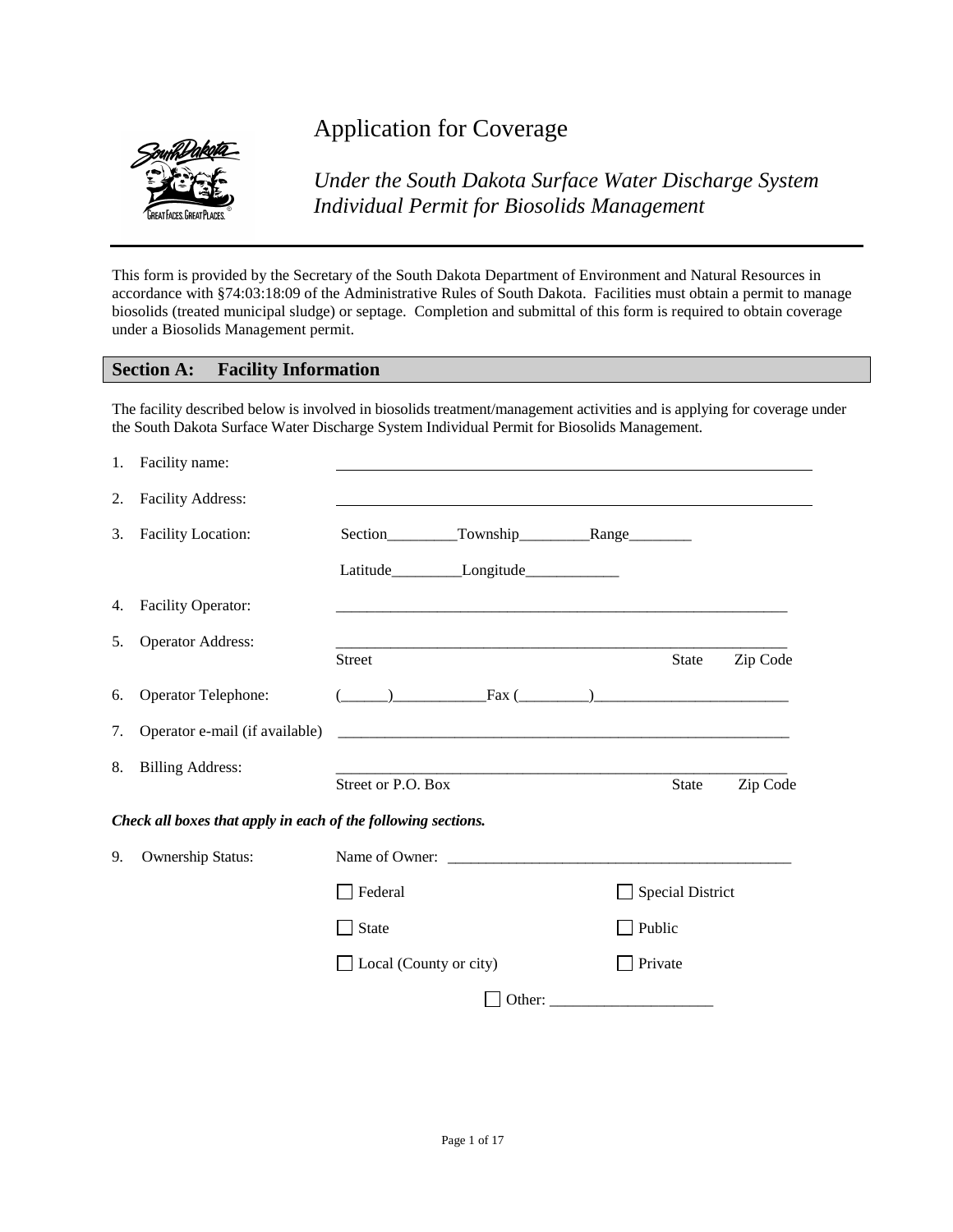

# Application for Coverage

*Under the South Dakota Surface Water Discharge System Individual Permit for Biosolids Management*

This form is provided by the Secretary of the South Dakota Department of Environment and Natural Resources in accordance with §74:03:18:09 of the Administrative Rules of South Dakota. Facilities must obtain a permit to manage biosolids (treated municipal sludge) or septage. Completion and submittal of this form is required to obtain coverage under a Biosolids Management permit.

#### **Section A: Facility Information**

The facility described below is involved in biosolids treatment/management activities and is applying for coverage under the South Dakota Surface Water Discharge System Individual Permit for Biosolids Management.

|    | 1. Facility name:                                             |                               |                                                                                                                                                                                                                                                                                                                     |                         |          |
|----|---------------------------------------------------------------|-------------------------------|---------------------------------------------------------------------------------------------------------------------------------------------------------------------------------------------------------------------------------------------------------------------------------------------------------------------|-------------------------|----------|
| 2. | <b>Facility Address:</b>                                      |                               |                                                                                                                                                                                                                                                                                                                     |                         |          |
| 3. | <b>Facility Location:</b>                                     |                               | Section__________Township_____________Range_________                                                                                                                                                                                                                                                                |                         |          |
|    |                                                               |                               |                                                                                                                                                                                                                                                                                                                     |                         |          |
| 4. | <b>Facility Operator:</b>                                     |                               |                                                                                                                                                                                                                                                                                                                     |                         |          |
| 5. | <b>Operator Address:</b>                                      | Street                        |                                                                                                                                                                                                                                                                                                                     | State                   | Zip Code |
| 6. | Operator Telephone:                                           |                               | $\frac{1}{2}$ $\frac{1}{2}$ $\frac{1}{2}$ $\frac{1}{2}$ $\frac{1}{2}$ $\frac{1}{2}$ $\frac{1}{2}$ $\frac{1}{2}$ $\frac{1}{2}$ $\frac{1}{2}$ $\frac{1}{2}$ $\frac{1}{2}$ $\frac{1}{2}$ $\frac{1}{2}$ $\frac{1}{2}$ $\frac{1}{2}$ $\frac{1}{2}$ $\frac{1}{2}$ $\frac{1}{2}$ $\frac{1}{2}$ $\frac{1}{2}$ $\frac{1}{2}$ |                         |          |
| 7. | Operator e-mail (if available)                                |                               |                                                                                                                                                                                                                                                                                                                     |                         |          |
| 8. | <b>Billing Address:</b>                                       | Street or P.O. Box            |                                                                                                                                                                                                                                                                                                                     | <b>State</b>            | Zip Code |
|    | Check all boxes that apply in each of the following sections. |                               |                                                                                                                                                                                                                                                                                                                     |                         |          |
| 9. | Ownership Status:                                             |                               |                                                                                                                                                                                                                                                                                                                     |                         |          |
|    |                                                               | Federal                       |                                                                                                                                                                                                                                                                                                                     | <b>Special District</b> |          |
|    |                                                               | State                         |                                                                                                                                                                                                                                                                                                                     | Public                  |          |
|    |                                                               | $\Box$ Local (County or city) |                                                                                                                                                                                                                                                                                                                     | Private                 |          |
|    |                                                               |                               |                                                                                                                                                                                                                                                                                                                     |                         |          |
|    |                                                               |                               |                                                                                                                                                                                                                                                                                                                     |                         |          |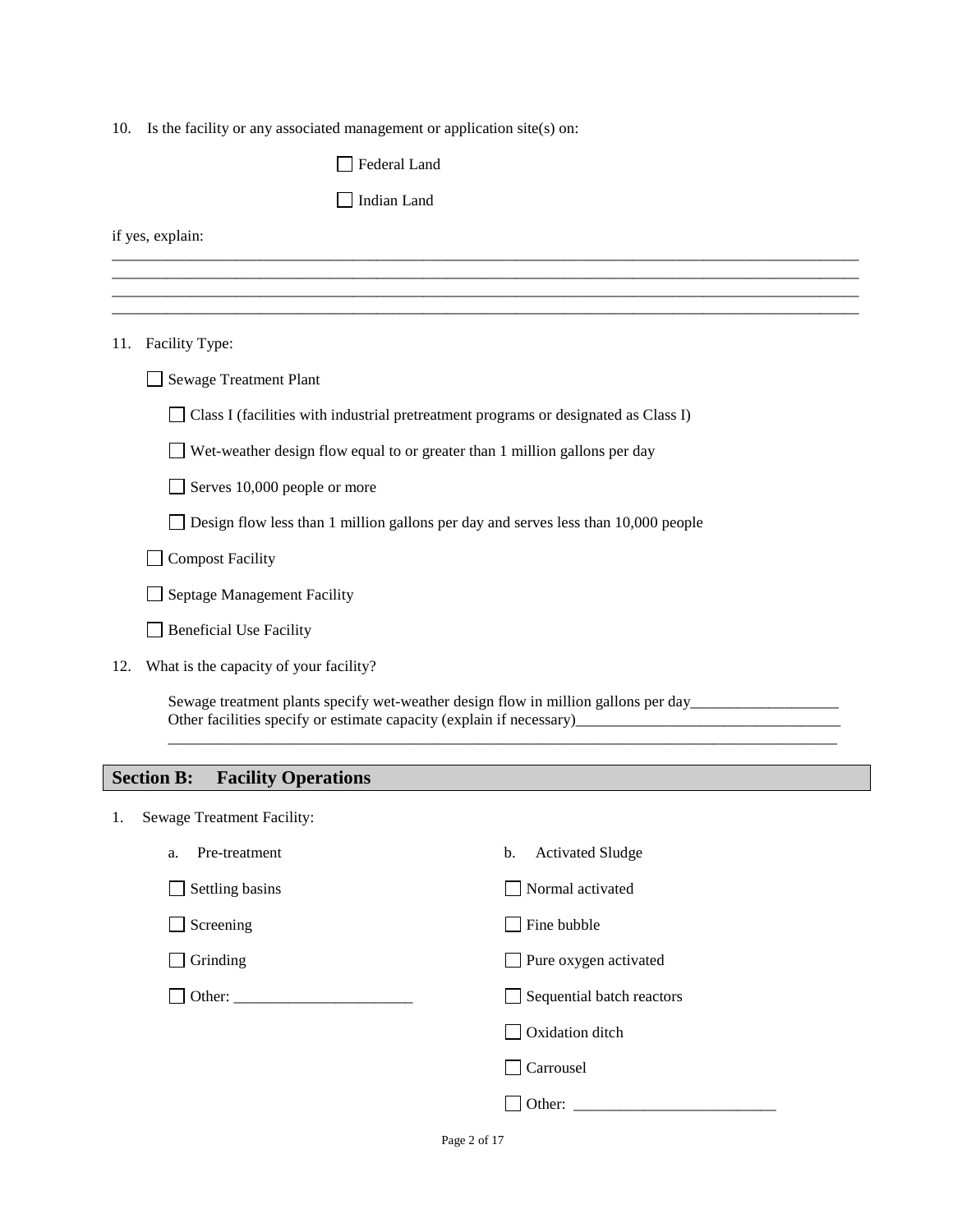10. Is the facility or any associated management or application site(s) on:

|     | Federal Land                                                                                        |
|-----|-----------------------------------------------------------------------------------------------------|
|     | Indian Land                                                                                         |
|     | if yes, explain:                                                                                    |
|     |                                                                                                     |
|     |                                                                                                     |
|     | 11. Facility Type:                                                                                  |
|     | <b>Sewage Treatment Plant</b>                                                                       |
|     | Class I (facilities with industrial pretreatment programs or designated as Class I)                 |
|     | $\Box$ Wet-weather design flow equal to or greater than 1 million gallons per day                   |
|     | Serves 10,000 people or more                                                                        |
|     | Design flow less than 1 million gallons per day and serves less than 10,000 people                  |
|     | <b>Compost Facility</b>                                                                             |
|     | Septage Management Facility                                                                         |
|     | <b>Beneficial Use Facility</b>                                                                      |
| 12. | What is the capacity of your facility?                                                              |
|     | Sewage treatment plants specify wet-weather design flow in million gallons per day_________________ |
|     | <b>Section B:</b><br><b>Facility Operations</b>                                                     |
| 1.  | Sewage Treatment Facility:                                                                          |
|     | Pre-treatment<br><b>Activated Sludge</b><br>b.<br>a.                                                |
|     | Normal activated<br>Settling basins                                                                 |
|     |                                                                                                     |

 $\Box$  Screening  $\Box$  Fine bubble

 $\Box$  Grinding  $\Box$  Pure oxygen activated

Other: \_\_\_\_\_\_\_\_\_\_\_\_\_\_\_\_\_\_\_\_\_\_\_ Sequential batch reactors

Oxidation ditch

Carrousel

Other: \_\_\_\_\_\_\_\_\_\_\_\_\_\_\_\_\_\_\_\_\_\_\_\_\_\_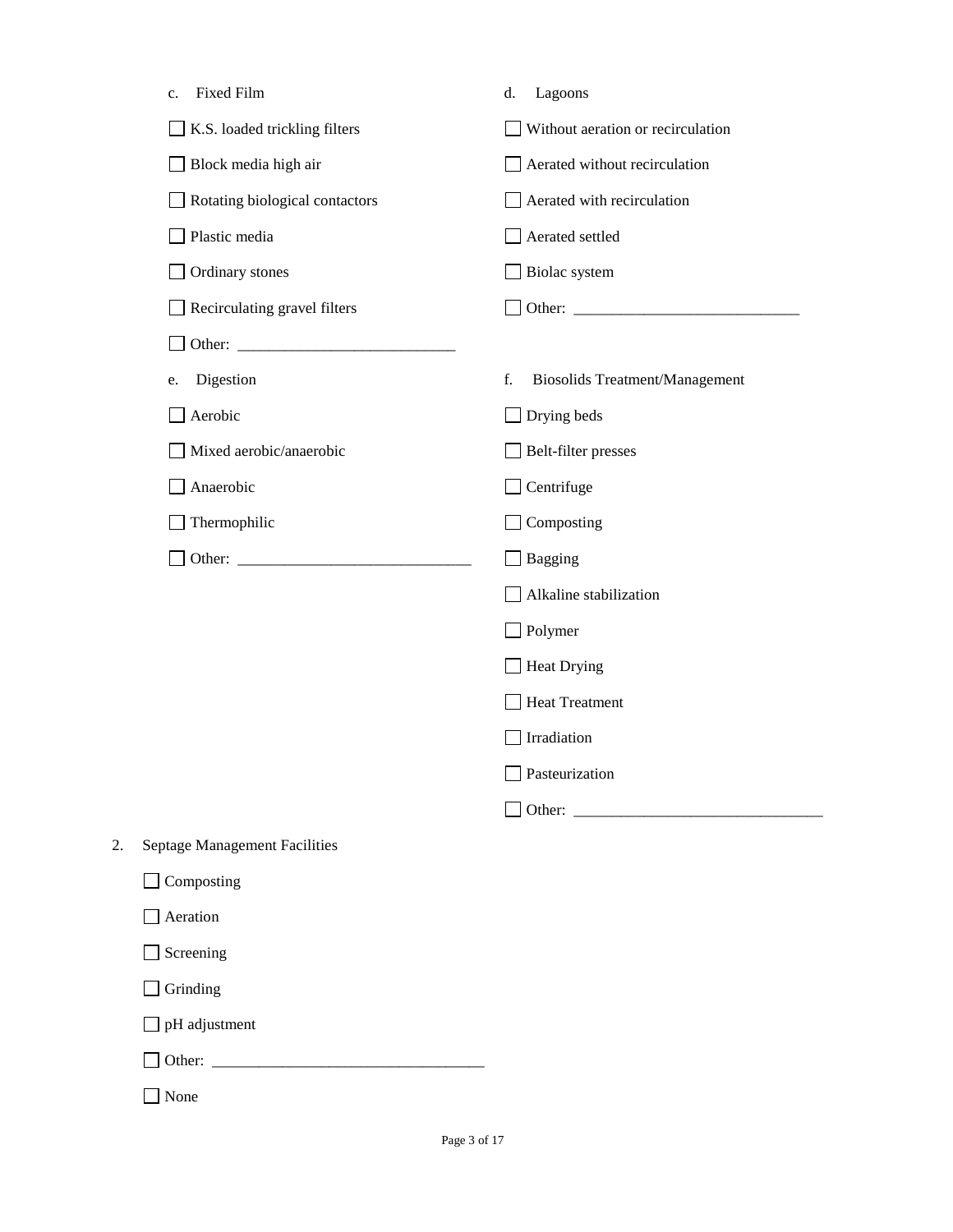|    | Fixed Film<br>c.                     | Lagoons<br>d.                               |
|----|--------------------------------------|---------------------------------------------|
|    | K.S. loaded trickling filters        | Without aeration or recirculation           |
|    | Block media high air                 | Aerated without recirculation               |
|    | Rotating biological contactors       | Aerated with recirculation                  |
|    | Plastic media                        | Aerated settled                             |
|    | Ordinary stones                      | Biolac system                               |
|    | Recirculating gravel filters         |                                             |
|    |                                      |                                             |
|    | Digestion<br>e.                      | f.<br><b>Biosolids Treatment/Management</b> |
|    | Aerobic                              | Drying beds<br>$\overline{\phantom{a}}$     |
|    | Mixed aerobic/anaerobic              | Belt-filter presses                         |
|    | Anaerobic                            | Centrifuge                                  |
|    | Thermophilic                         | Composting                                  |
|    |                                      | <b>Bagging</b>                              |
|    |                                      | Alkaline stabilization                      |
|    |                                      | Polymer                                     |
|    |                                      | Heat Drying                                 |
|    |                                      | <b>Heat Treatment</b>                       |
|    |                                      | Irradiation                                 |
|    |                                      | Pasteurization                              |
|    |                                      | Other:                                      |
| 2. | <b>Septage Management Facilities</b> |                                             |
|    | $\Box$ Composting                    |                                             |
|    | Aeration                             |                                             |
|    | Screening                            |                                             |
|    | Grinding                             |                                             |
|    | $\Box$ pH adjustment                 |                                             |
|    |                                      |                                             |

None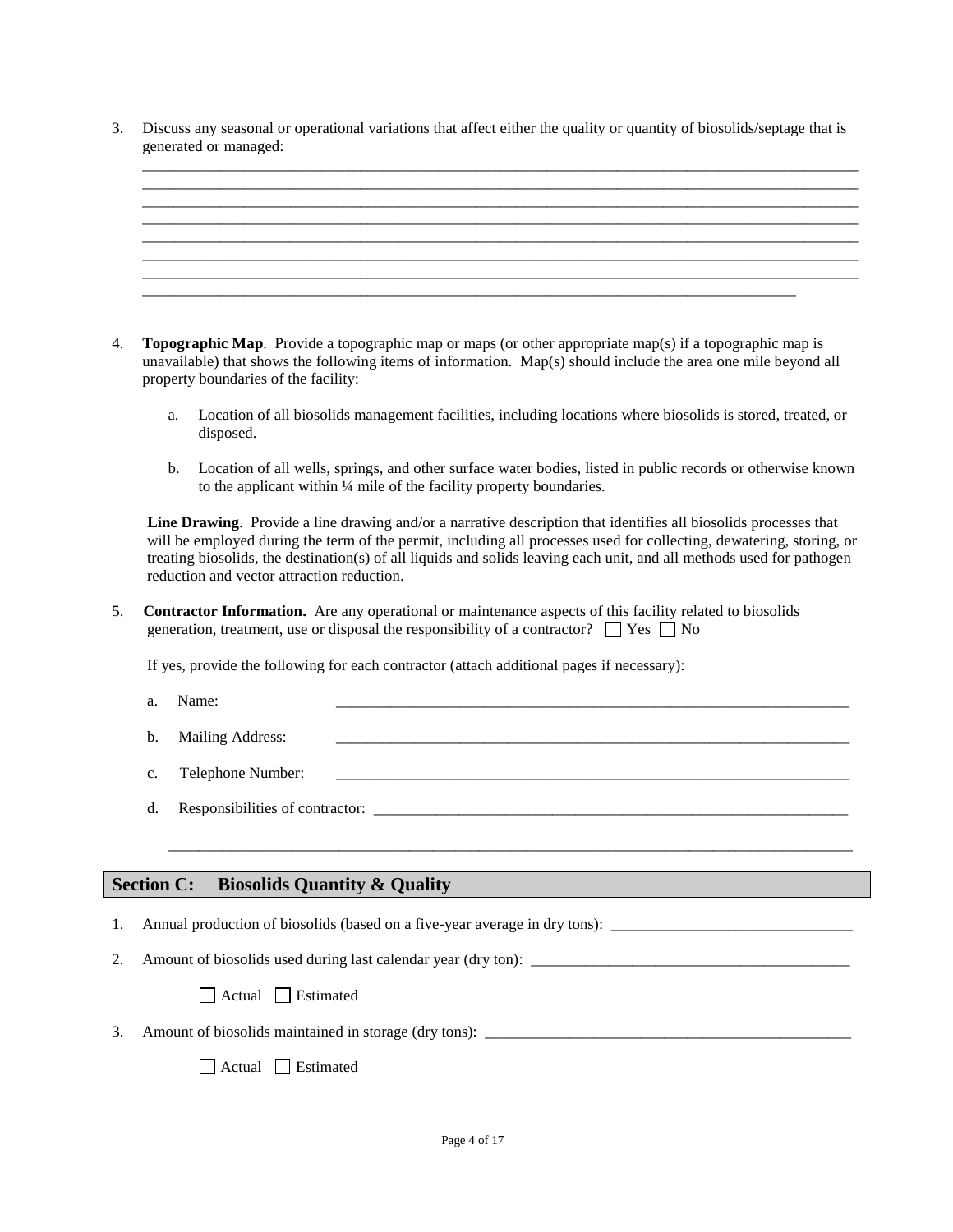3. Discuss any seasonal or operational variations that affect either the quality or quantity of biosolids/septage that is generated or managed:



- 4. **Topographic Map**. Provide a topographic map or maps (or other appropriate map(s) if a topographic map is unavailable) that shows the following items of information. Map(s) should include the area one mile beyond all property boundaries of the facility:
	- a. Location of all biosolids management facilities, including locations where biosolids is stored, treated, or disposed.
	- b. Location of all wells, springs, and other surface water bodies, listed in public records or otherwise known to the applicant within ¼ mile of the facility property boundaries.

 **Line Drawing**. Provide a line drawing and/or a narrative description that identifies all biosolids processes that will be employed during the term of the permit, including all processes used for collecting, dewatering, storing, or treating biosolids, the destination(s) of all liquids and solids leaving each unit, and all methods used for pathogen reduction and vector attraction reduction.

5. **Contractor Information.** Are any operational or maintenance aspects of this facility related to biosolids generation, treatment, use or disposal the responsibility of a contractor?  $\Box$  Yes  $\Box$  No

If yes, provide the following for each contractor (attach additional pages if necessary):

- a. Name: \_\_\_\_\_\_\_\_\_\_\_\_\_\_\_\_\_\_\_\_\_\_\_\_\_\_\_\_\_\_\_\_\_\_\_\_\_\_\_\_\_\_\_\_\_\_\_\_\_\_\_\_\_\_\_\_\_\_\_\_\_\_\_\_\_\_
- b. Mailing Address:
- c. Telephone Number:

\_\_\_\_\_\_\_\_\_\_\_\_\_\_\_\_\_\_\_\_\_\_\_\_\_\_\_\_\_\_\_\_\_\_\_\_\_\_\_\_\_\_\_\_\_\_\_\_\_\_\_\_\_\_\_\_\_\_\_\_\_\_\_\_\_\_\_\_\_\_\_\_\_\_\_\_\_\_\_\_\_\_\_\_\_\_\_\_

d. Responsibilities of contractor:

### **Section C: Biosolids Quantity & Quality**

- 1. Annual production of biosolids (based on a five-year average in dry tons):
- 2. Amount of biosolids used during last calendar year (dry ton):

Actual Estimated

3. Amount of biosolids maintained in storage (dry tons):

Actual Estimated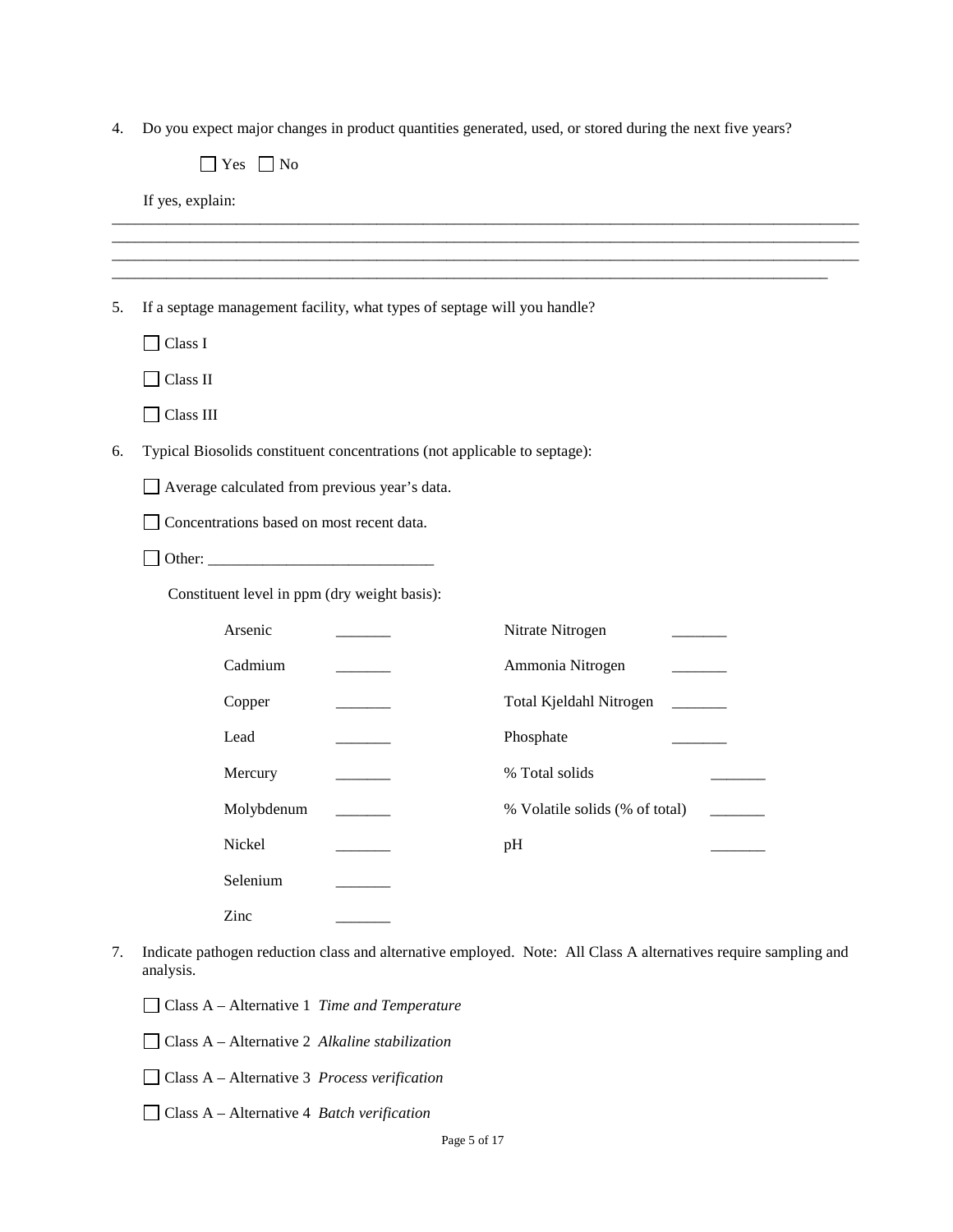4. Do you expect major changes in product quantities generated, used, or stored during the next five years?

|    | Yes $\Box$ No                                                             |                                                                                                                 |  |  |  |
|----|---------------------------------------------------------------------------|-----------------------------------------------------------------------------------------------------------------|--|--|--|
|    | If yes, explain:                                                          |                                                                                                                 |  |  |  |
|    |                                                                           |                                                                                                                 |  |  |  |
|    |                                                                           |                                                                                                                 |  |  |  |
| 5. | If a septage management facility, what types of septage will you handle?  |                                                                                                                 |  |  |  |
|    | Class I                                                                   |                                                                                                                 |  |  |  |
|    | Class II                                                                  |                                                                                                                 |  |  |  |
|    | $\Box$ Class III                                                          |                                                                                                                 |  |  |  |
| 6. | Typical Biosolids constituent concentrations (not applicable to septage): |                                                                                                                 |  |  |  |
|    | Average calculated from previous year's data.                             |                                                                                                                 |  |  |  |
|    | Concentrations based on most recent data.                                 |                                                                                                                 |  |  |  |
|    |                                                                           |                                                                                                                 |  |  |  |
|    | Constituent level in ppm (dry weight basis):                              |                                                                                                                 |  |  |  |
|    | Arsenic                                                                   | Nitrate Nitrogen                                                                                                |  |  |  |
|    | Cadmium                                                                   | Ammonia Nitrogen                                                                                                |  |  |  |
|    | Copper                                                                    | Total Kjeldahl Nitrogen                                                                                         |  |  |  |
|    | Lead                                                                      | Phosphate                                                                                                       |  |  |  |
|    | Mercury                                                                   | % Total solids                                                                                                  |  |  |  |
|    | Molybdenum                                                                | % Volatile solids (% of total)                                                                                  |  |  |  |
|    | Nickel                                                                    | pH                                                                                                              |  |  |  |
|    | Selenium                                                                  |                                                                                                                 |  |  |  |
|    | Zinc                                                                      |                                                                                                                 |  |  |  |
| 7. |                                                                           | Indicate pathogen reduction class and alternative employed. Note: All Class A alternatives require sampling and |  |  |  |

- analysis.
	- Class A Alternative 1 *Time and Temperature*
	- Class A Alternative 2 *Alkaline stabilization*
	- Class A Alternative 3 *Process verification*
	- Class A Alternative 4 *Batch verification*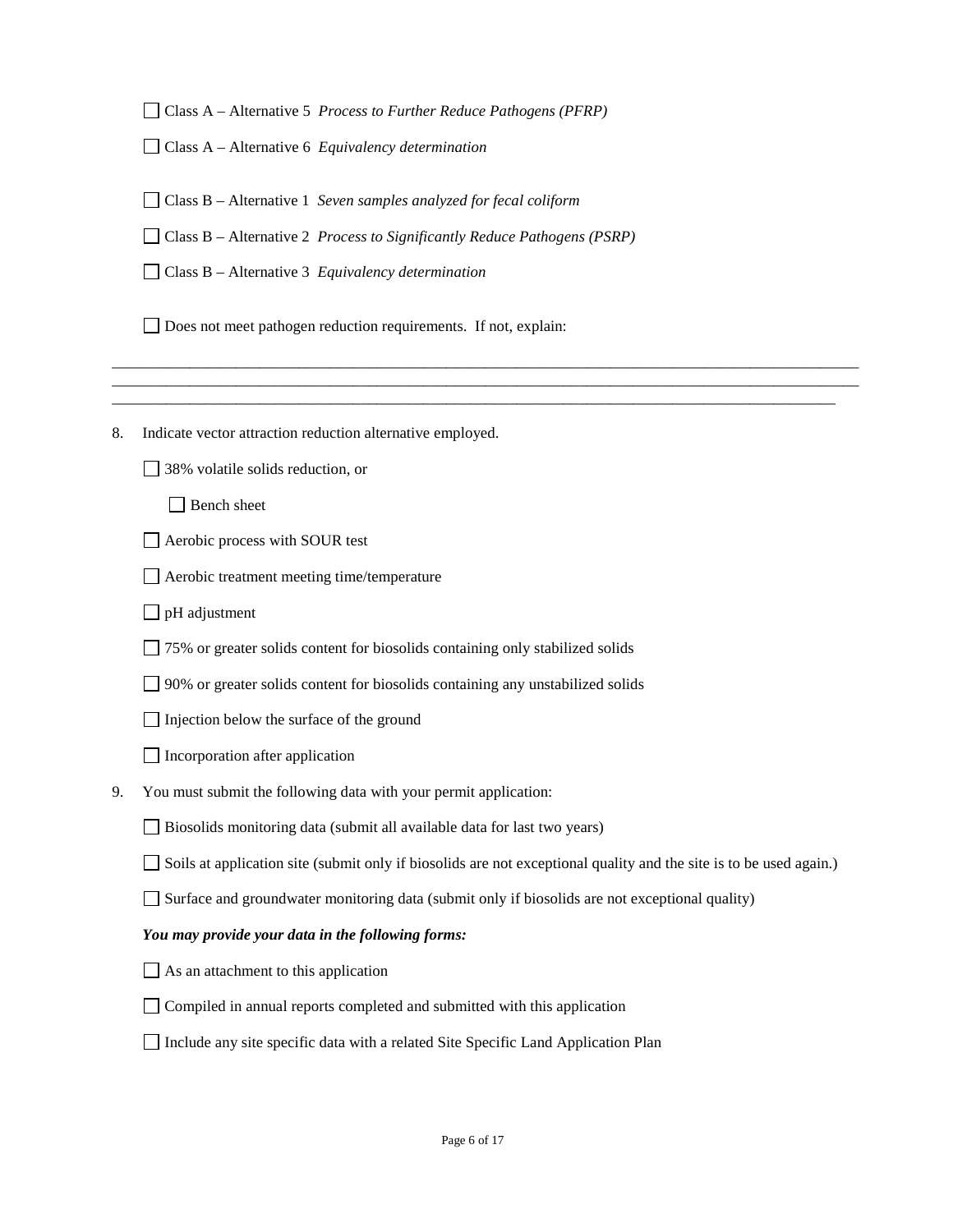Class A – Alternative 5 *Process to Further Reduce Pathogens (PFRP)*

Class A – Alternative 6 *Equivalency determination*

Class B – Alternative 1 *Seven samples analyzed for fecal coliform*

Class B – Alternative 2 *Process to Significantly Reduce Pathogens (PSRP)*

Class B – Alternative 3 *Equivalency determination*

Does not meet pathogen reduction requirements. If not, explain:

8. Indicate vector attraction reduction alternative employed.

38% volatile solids reduction, or

□ Bench sheet

Aerobic process with SOUR test

Aerobic treatment meeting time/temperature

 $\Box$  pH adjustment

75% or greater solids content for biosolids containing only stabilized solids

90% or greater solids content for biosolids containing any unstabilized solids

 $\Box$  Injection below the surface of the ground

 $\Box$  Incorporation after application

9. You must submit the following data with your permit application:

Biosolids monitoring data (submit all available data for last two years)

Soils at application site (submit only if biosolids are not exceptional quality and the site is to be used again.)

\_\_\_\_\_\_\_\_\_\_\_\_\_\_\_\_\_\_\_\_\_\_\_\_\_\_\_\_\_\_\_\_\_\_\_\_\_\_\_\_\_\_\_\_\_\_\_\_\_\_\_\_\_\_\_\_\_\_\_\_\_\_\_\_\_\_\_\_\_\_\_\_\_\_\_\_\_\_\_\_\_\_\_\_\_\_\_\_\_\_\_\_\_\_\_\_ \_\_\_\_\_\_\_\_\_\_\_\_\_\_\_\_\_\_\_\_\_\_\_\_\_\_\_\_\_\_\_\_\_\_\_\_\_\_\_\_\_\_\_\_\_\_\_\_\_\_\_\_\_\_\_\_\_\_\_\_\_\_\_\_\_\_\_\_\_\_\_\_\_\_\_\_\_\_\_\_\_\_\_\_\_\_\_\_\_\_\_\_\_\_\_\_ \_\_\_\_\_\_\_\_\_\_\_\_\_\_\_\_\_\_\_\_\_\_\_\_\_\_\_\_\_\_\_\_\_\_\_\_\_\_\_\_\_\_\_\_\_\_\_\_\_\_\_\_\_\_\_\_\_\_\_\_\_\_\_\_\_\_\_\_\_\_\_\_\_\_\_\_\_\_\_\_\_\_\_\_\_\_\_\_\_\_\_\_\_

Surface and groundwater monitoring data (submit only if biosolids are not exceptional quality)

#### *You may provide your data in the following forms:*

 $\Box$  As an attachment to this application

Compiled in annual reports completed and submitted with this application

Include any site specific data with a related Site Specific Land Application Plan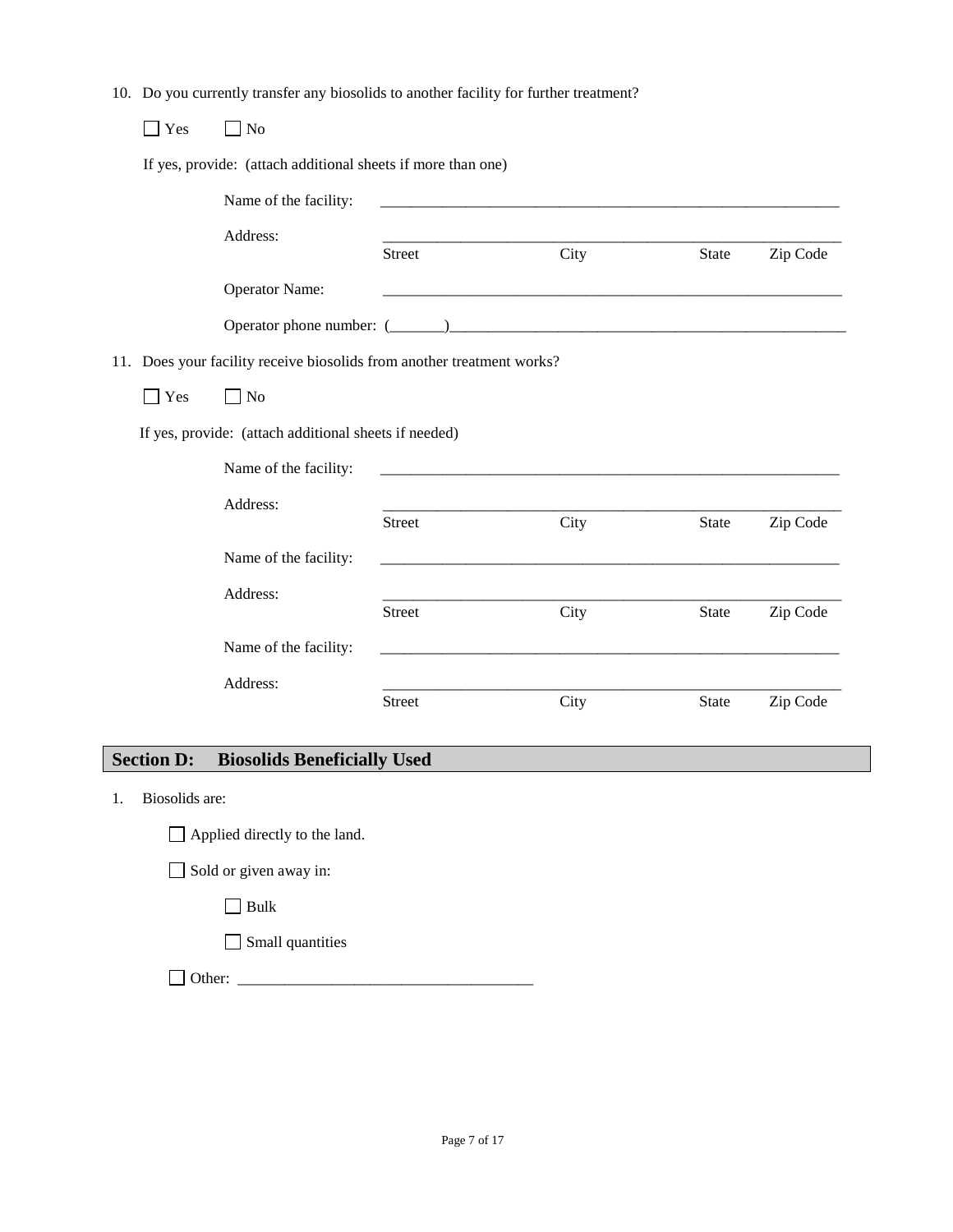10. Do you currently transfer any biosolids to another facility for further treatment?

| Yes | No                                                                     |               |      |              |          |
|-----|------------------------------------------------------------------------|---------------|------|--------------|----------|
|     | If yes, provide: (attach additional sheets if more than one)           |               |      |              |          |
|     | Name of the facility:                                                  |               |      |              |          |
|     | Address:                                                               | <b>Street</b> | City | <b>State</b> | Zip Code |
|     | <b>Operator Name:</b>                                                  |               |      |              |          |
|     |                                                                        |               |      |              |          |
|     | 11. Does your facility receive biosolids from another treatment works? |               |      |              |          |
| Yes | $\Box$ No                                                              |               |      |              |          |
|     | If yes, provide: (attach additional sheets if needed)                  |               |      |              |          |
|     | Name of the facility:                                                  |               |      |              |          |
|     | Address:                                                               | <b>Street</b> | City | State        | Zip Code |
|     | Name of the facility:                                                  |               |      |              |          |
|     | Address:                                                               | <b>Street</b> | City | <b>State</b> | Zip Code |
|     | Name of the facility:                                                  |               |      |              |          |
|     | Address:                                                               |               |      |              |          |
|     |                                                                        | <b>Street</b> | City | <b>State</b> | Zip Code |

# **Section D: Biosolids Beneficially Used**

1. Biosolids are:

Applied directly to the land.

Sold or given away in:

 $\Box$  Bulk

Small quantities

Other: \_\_\_\_\_\_\_\_\_\_\_\_\_\_\_\_\_\_\_\_\_\_\_\_\_\_\_\_\_\_\_\_\_\_\_\_\_\_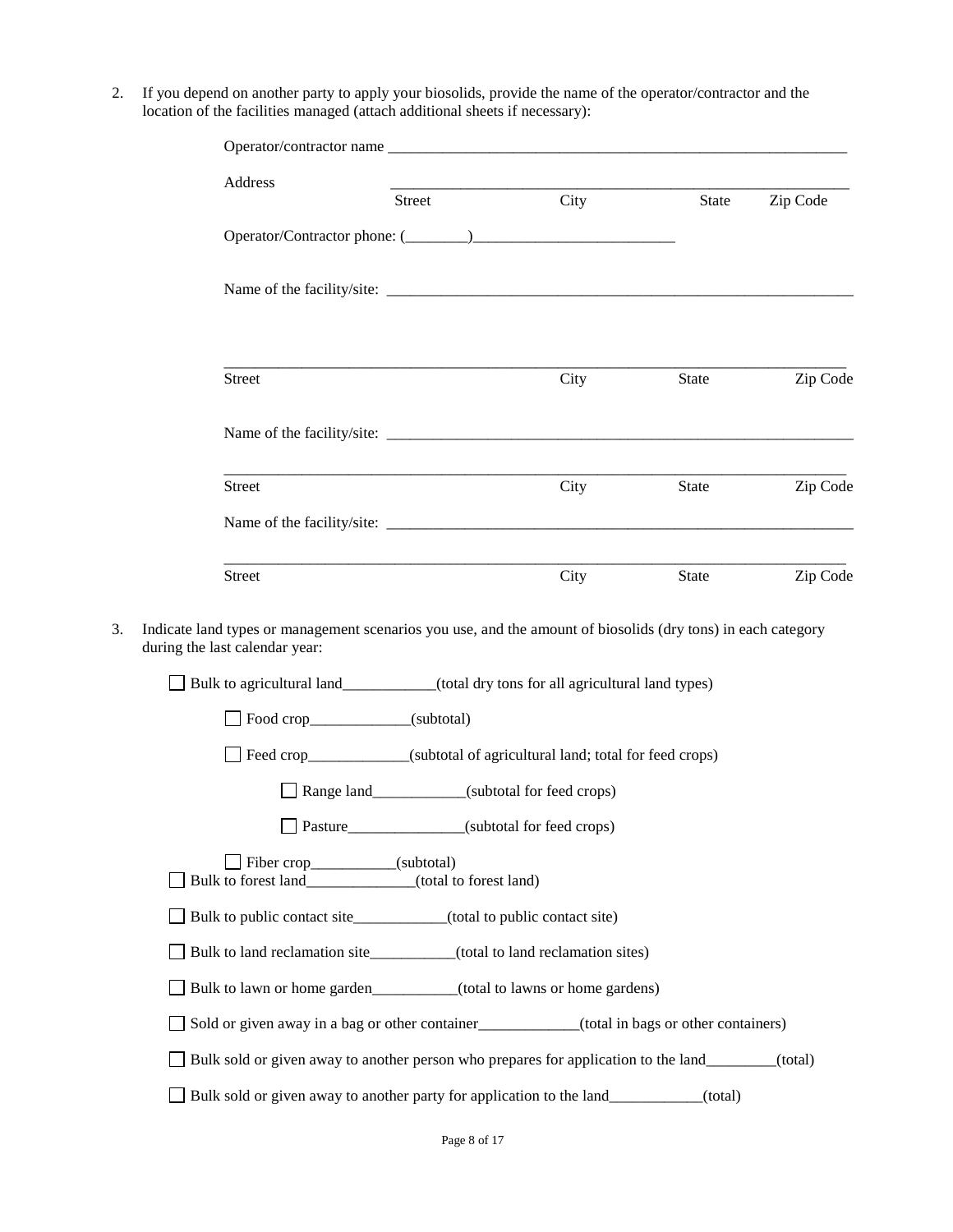2. If you depend on another party to apply your biosolids, provide the name of the operator/contractor and the location of the facilities managed (attach additional sheets if necessary):

| Address                                                                                                                                                    | Street                                            | City | State | Zip Code |
|------------------------------------------------------------------------------------------------------------------------------------------------------------|---------------------------------------------------|------|-------|----------|
|                                                                                                                                                            |                                                   |      |       |          |
|                                                                                                                                                            |                                                   |      |       |          |
| Street                                                                                                                                                     |                                                   | City | State | Zip Code |
|                                                                                                                                                            |                                                   |      |       |          |
| <b>Street</b>                                                                                                                                              |                                                   | City | State | Zip Code |
|                                                                                                                                                            |                                                   |      |       |          |
| Street                                                                                                                                                     |                                                   | City | State | Zip Code |
| during the last calendar year:<br>Bulk to agricultural land__________(total dry tons for all agricultural land types)<br>Food crop______________(subtotal) |                                                   |      |       |          |
|                                                                                                                                                            |                                                   |      |       |          |
|                                                                                                                                                            |                                                   |      |       |          |
| Feed crop____________(subtotal of agricultural land; total for feed crops)                                                                                 | Range land___________(subtotal for feed crops)    |      |       |          |
|                                                                                                                                                            | Pasture_________________(subtotal for feed crops) |      |       |          |
| Fiber crop__________(subtotal)<br>Bulk to forest land_____________(total to forest land)                                                                   |                                                   |      |       |          |
| □ Bulk to public contact site___________(total to public contact site)                                                                                     |                                                   |      |       |          |
| Bulk to land reclamation site__________(total to land reclamation sites)                                                                                   |                                                   |      |       |          |
| Bulk to lawn or home garden_________(total to lawns or home gardens)                                                                                       |                                                   |      |       |          |
| Sold or given away in a bag or other container<br>(total in bags or other containers)                                                                      |                                                   |      |       |          |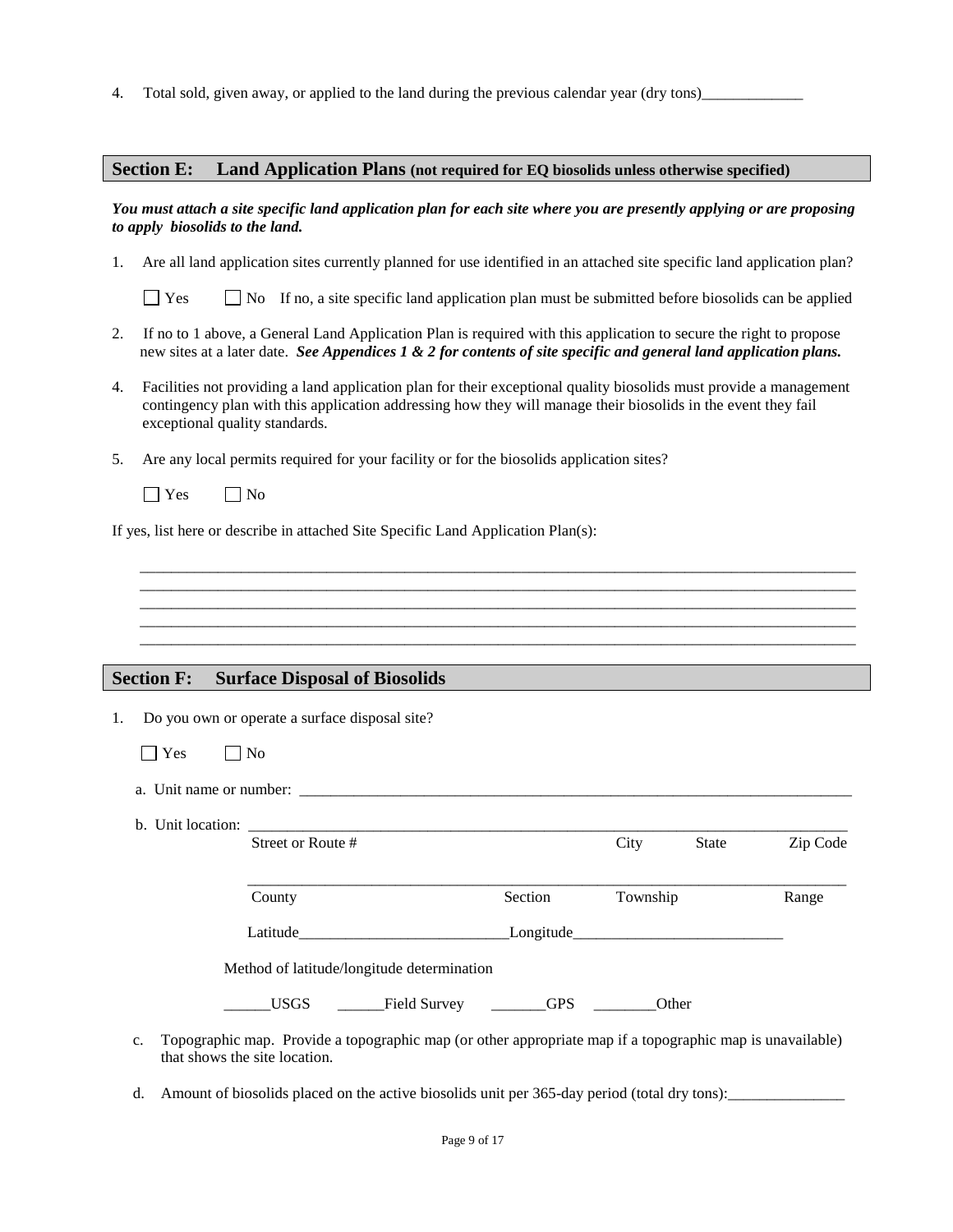4. Total sold, given away, or applied to the land during the previous calendar year (dry tons)

#### **Section E: Land Application Plans (not required for EQ biosolids unless otherwise specified)**

#### *You must attach a site specific land application plan for each site where you are presently applying or are proposing to apply biosolids to the land.*

1. Are all land application sites currently planned for use identified in an attached site specific land application plan?

 $\Box$  Yes  $\Box$  No If no, a site specific land application plan must be submitted before biosolids can be applied

- 2. If no to 1 above, a General Land Application Plan is required with this application to secure the right to propose new sites at a later date. *See Appendices 1 & 2 for contents of site specific and general land application plans.*
- 4. Facilities not providing a land application plan for their exceptional quality biosolids must provide a management contingency plan with this application addressing how they will manage their biosolids in the event they fail exceptional quality standards.

\_\_\_\_\_\_\_\_\_\_\_\_\_\_\_\_\_\_\_\_\_\_\_\_\_\_\_\_\_\_\_\_\_\_\_\_\_\_\_\_\_\_\_\_\_\_\_\_\_\_\_\_\_\_\_\_\_\_\_\_\_\_\_\_\_\_\_\_\_\_\_\_\_\_\_\_\_\_\_\_\_\_\_\_\_\_\_\_\_\_\_\_ \_\_\_\_\_\_\_\_\_\_\_\_\_\_\_\_\_\_\_\_\_\_\_\_\_\_\_\_\_\_\_\_\_\_\_\_\_\_\_\_\_\_\_\_\_\_\_\_\_\_\_\_\_\_\_\_\_\_\_\_\_\_\_\_\_\_\_\_\_\_\_\_\_\_\_\_\_\_\_\_\_\_\_\_\_\_\_\_\_\_\_\_ \_\_\_\_\_\_\_\_\_\_\_\_\_\_\_\_\_\_\_\_\_\_\_\_\_\_\_\_\_\_\_\_\_\_\_\_\_\_\_\_\_\_\_\_\_\_\_\_\_\_\_\_\_\_\_\_\_\_\_\_\_\_\_\_\_\_\_\_\_\_\_\_\_\_\_\_\_\_\_\_\_\_\_\_\_\_\_\_\_\_\_\_ \_\_\_\_\_\_\_\_\_\_\_\_\_\_\_\_\_\_\_\_\_\_\_\_\_\_\_\_\_\_\_\_\_\_\_\_\_\_\_\_\_\_\_\_\_\_\_\_\_\_\_\_\_\_\_\_\_\_\_\_\_\_\_\_\_\_\_\_\_\_\_\_\_\_\_\_\_\_\_\_\_\_\_\_\_\_\_\_\_\_\_\_ \_\_\_\_\_\_\_\_\_\_\_\_\_\_\_\_\_\_\_\_\_\_\_\_\_\_\_\_\_\_\_\_\_\_\_\_\_\_\_\_\_\_\_\_\_\_\_\_\_\_\_\_\_\_\_\_\_\_\_\_\_\_\_\_\_\_\_\_\_\_\_\_\_\_\_\_\_\_\_\_\_\_\_\_\_\_\_\_\_\_\_\_

- 5. Are any local permits required for your facility or for the biosolids application sites?
	- $\Box$  Yes  $\Box$  No

If yes, list here or describe in attached Site Specific Land Application Plan(s):

#### **Section F: Surface Disposal of Biosolids**

1. Do you own or operate a surface disposal site?

| ∽<br>PS<br>$\sim$<br>$\sim$ | N٥<br>ı |
|-----------------------------|---------|
|-----------------------------|---------|

a. Unit name or number:

that shows the site location.

b. Unit location:

|    | Street or Route #                                                                                         |            | City<br><b>State</b> | Zip Code |
|----|-----------------------------------------------------------------------------------------------------------|------------|----------------------|----------|
|    | County                                                                                                    | Section    | Township             | Range    |
|    | Latitude                                                                                                  |            | Longitude            |          |
|    | Method of latitude/longitude determination                                                                |            |                      |          |
|    | <b>USGS</b><br>Field Survey                                                                               | <b>GPS</b> | Other                |          |
| c. | Topographic map. Provide a topographic map (or other appropriate map if a topographic map is unavailable) |            |                      |          |

d. Amount of biosolids placed on the active biosolids unit per 365-day period (total dry tons):\_\_\_\_\_\_\_\_\_\_\_\_\_\_\_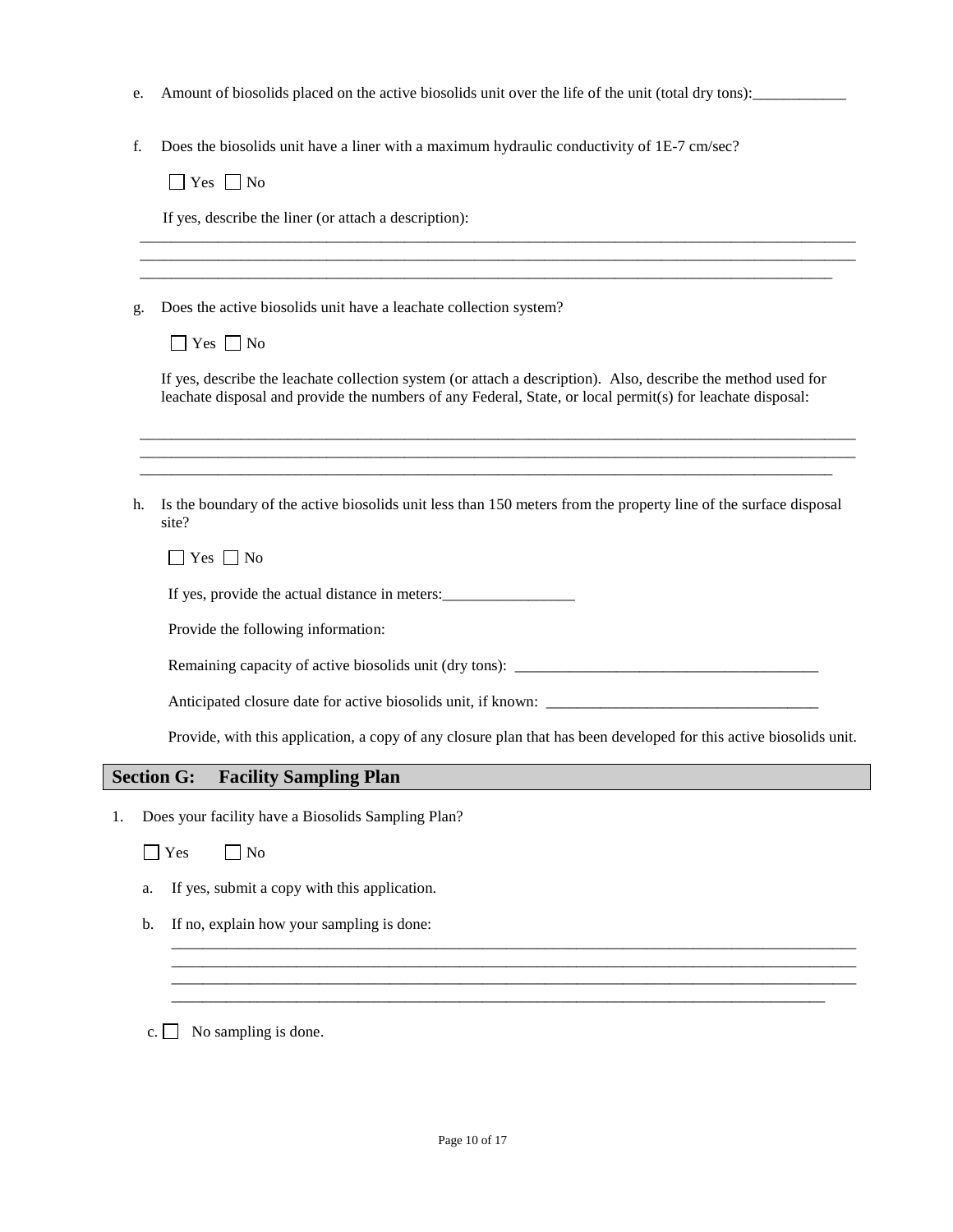- e. Amount of biosolids placed on the active biosolids unit over the life of the unit (total dry tons):\_\_\_\_\_\_\_\_\_\_\_\_
- f. Does the biosolids unit have a liner with a maximum hydraulic conductivity of 1E-7 cm/sec?

 $\Box$  Yes  $\Box$  No

If yes, describe the liner (or attach a description):

g. Does the active biosolids unit have a leachate collection system?

If yes, describe the leachate collection system (or attach a description). Also, describe the method used for leachate disposal and provide the numbers of any Federal, State, or local permit(s) for leachate disposal:

\_\_\_\_\_\_\_\_\_\_\_\_\_\_\_\_\_\_\_\_\_\_\_\_\_\_\_\_\_\_\_\_\_\_\_\_\_\_\_\_\_\_\_\_\_\_\_\_\_\_\_\_\_\_\_\_\_\_\_\_\_\_\_\_\_\_\_\_\_\_\_\_\_\_\_\_\_\_\_\_\_\_\_\_\_\_\_\_\_\_\_\_ \_\_\_\_\_\_\_\_\_\_\_\_\_\_\_\_\_\_\_\_\_\_\_\_\_\_\_\_\_\_\_\_\_\_\_\_\_\_\_\_\_\_\_\_\_\_\_\_\_\_\_\_\_\_\_\_\_\_\_\_\_\_\_\_\_\_\_\_\_\_\_\_\_\_\_\_\_\_\_\_\_\_\_\_\_\_\_\_\_\_\_\_ \_\_\_\_\_\_\_\_\_\_\_\_\_\_\_\_\_\_\_\_\_\_\_\_\_\_\_\_\_\_\_\_\_\_\_\_\_\_\_\_\_\_\_\_\_\_\_\_\_\_\_\_\_\_\_\_\_\_\_\_\_\_\_\_\_\_\_\_\_\_\_\_\_\_\_\_\_\_\_\_\_\_\_\_\_\_\_\_\_

\_\_\_\_\_\_\_\_\_\_\_\_\_\_\_\_\_\_\_\_\_\_\_\_\_\_\_\_\_\_\_\_\_\_\_\_\_\_\_\_\_\_\_\_\_\_\_\_\_\_\_\_\_\_\_\_\_\_\_\_\_\_\_\_\_\_\_\_\_\_\_\_\_\_\_\_\_\_\_\_\_\_\_\_\_\_\_\_\_\_\_\_ \_\_\_\_\_\_\_\_\_\_\_\_\_\_\_\_\_\_\_\_\_\_\_\_\_\_\_\_\_\_\_\_\_\_\_\_\_\_\_\_\_\_\_\_\_\_\_\_\_\_\_\_\_\_\_\_\_\_\_\_\_\_\_\_\_\_\_\_\_\_\_\_\_\_\_\_\_\_\_\_\_\_\_\_\_\_\_\_\_\_\_\_ \_\_\_\_\_\_\_\_\_\_\_\_\_\_\_\_\_\_\_\_\_\_\_\_\_\_\_\_\_\_\_\_\_\_\_\_\_\_\_\_\_\_\_\_\_\_\_\_\_\_\_\_\_\_\_\_\_\_\_\_\_\_\_\_\_\_\_\_\_\_\_\_\_\_\_\_\_\_\_\_\_\_\_\_\_\_\_\_\_

h. Is the boundary of the active biosolids unit less than 150 meters from the property line of the surface disposal site?

 $\Box$  Yes  $\Box$  No

If yes, provide the actual distance in meters:

Provide the following information:

Remaining capacity of active biosolids unit (dry tons): \_\_\_\_\_\_\_\_\_\_\_\_\_\_\_\_\_\_\_\_\_\_\_\_\_\_\_\_\_\_\_\_\_\_\_\_\_\_\_

Anticipated closure date for active biosolids unit, if known: \_\_\_\_\_\_\_\_\_\_\_\_\_\_\_\_\_\_

Provide, with this application, a copy of any closure plan that has been developed for this active biosolids unit.

\_\_\_\_\_\_\_\_\_\_\_\_\_\_\_\_\_\_\_\_\_\_\_\_\_\_\_\_\_\_\_\_\_\_\_\_\_\_\_\_\_\_\_\_\_\_\_\_\_\_\_\_\_\_\_\_\_\_\_\_\_\_\_\_\_\_\_\_\_\_\_\_\_\_\_\_\_\_\_\_\_\_\_\_\_\_\_\_ \_\_\_\_\_\_\_\_\_\_\_\_\_\_\_\_\_\_\_\_\_\_\_\_\_\_\_\_\_\_\_\_\_\_\_\_\_\_\_\_\_\_\_\_\_\_\_\_\_\_\_\_\_\_\_\_\_\_\_\_\_\_\_\_\_\_\_\_\_\_\_\_\_\_\_\_\_\_\_\_\_\_\_\_\_\_\_\_ \_\_\_\_\_\_\_\_\_\_\_\_\_\_\_\_\_\_\_\_\_\_\_\_\_\_\_\_\_\_\_\_\_\_\_\_\_\_\_\_\_\_\_\_\_\_\_\_\_\_\_\_\_\_\_\_\_\_\_\_\_\_\_\_\_\_\_\_\_\_\_\_\_\_\_\_\_\_\_\_\_\_\_\_\_\_\_\_ \_\_\_\_\_\_\_\_\_\_\_\_\_\_\_\_\_\_\_\_\_\_\_\_\_\_\_\_\_\_\_\_\_\_\_\_\_\_\_\_\_\_\_\_\_\_\_\_\_\_\_\_\_\_\_\_\_\_\_\_\_\_\_\_\_\_\_\_\_\_\_\_\_\_\_\_\_\_\_\_\_\_\_\_

#### **Section G: Facility Sampling Plan**

1. Does your facility have a Biosolids Sampling Plan?

 $\Box$  Yes  $\Box$  No

- a. If yes, submit a copy with this application.
- b. If no, explain how your sampling is done:

c.  $\Box$  No sampling is done.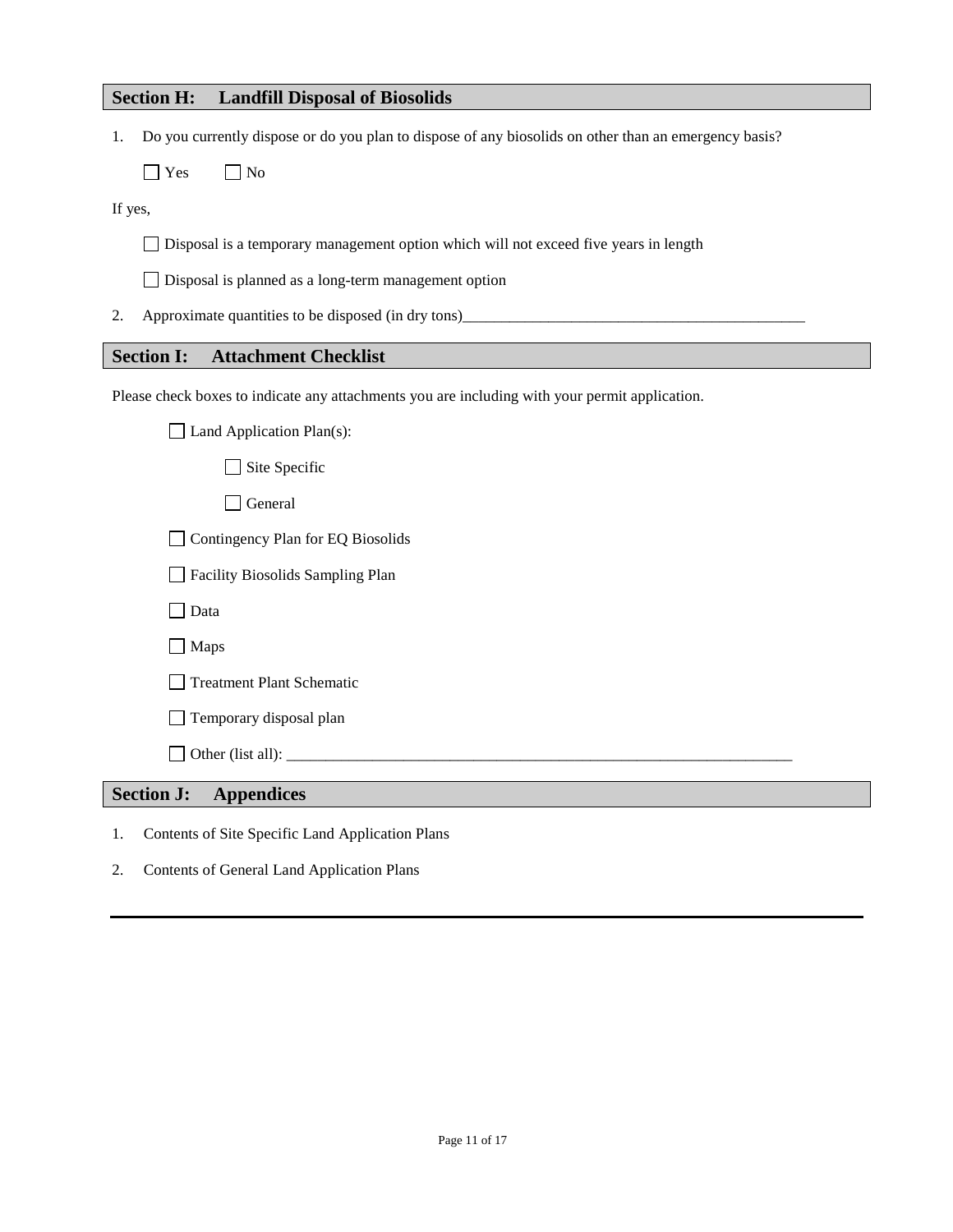## **Section H: Landfill Disposal of Biosolids**

1. Do you currently dispose or do you plan to dispose of any biosolids on other than an emergency basis?

 $\Box$  Yes  $\Box$  No

If yes,

Disposal is a temporary management option which will not exceed five years in length

Disposal is planned as a long-term management option

2. Approximate quantities to be disposed (in dry tons)

## **Section I: Attachment Checklist**

Please check boxes to indicate any attachments you are including with your permit application.

| <b>Section J:</b> | <b>Appendices</b>                                             |
|-------------------|---------------------------------------------------------------|
|                   |                                                               |
|                   | Temporary disposal plan                                       |
|                   | <b>Treatment Plant Schematic</b>                              |
|                   | $\Box$ Maps                                                   |
|                   | Data                                                          |
|                   | Facility Biosolids Sampling Plan                              |
|                   | Contingency Plan for EQ Biosolids<br>$\overline{\phantom{a}}$ |
|                   | General                                                       |
|                   | Site Specific                                                 |
|                   | Land Application Plan(s):                                     |

- 1. Contents of Site Specific Land Application Plans
- 2. Contents of General Land Application Plans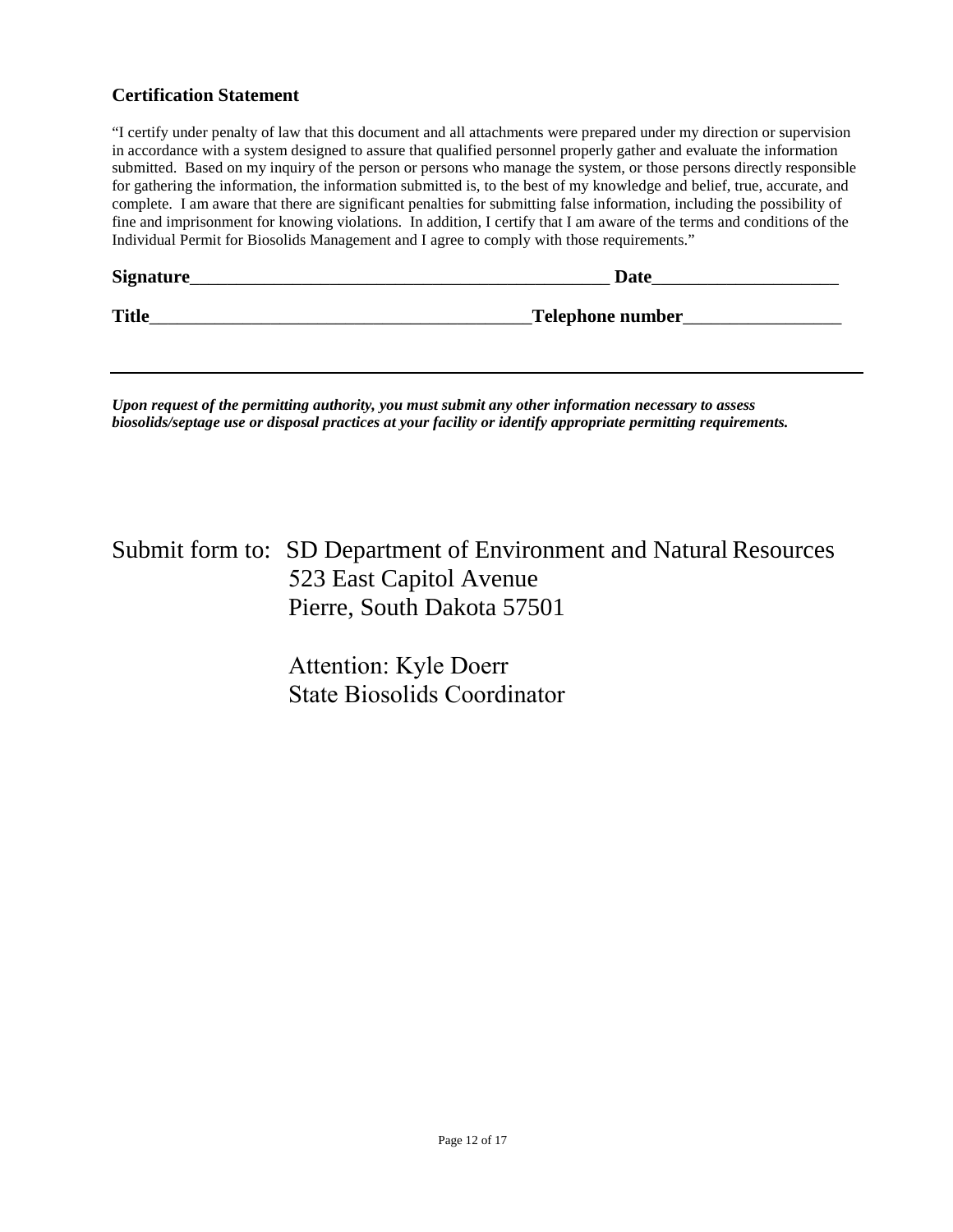## **Certification Statement**

"I certify under penalty of law that this document and all attachments were prepared under my direction or supervision in accordance with a system designed to assure that qualified personnel properly gather and evaluate the information submitted. Based on my inquiry of the person or persons who manage the system, or those persons directly responsible for gathering the information, the information submitted is, to the best of my knowledge and belief, true, accurate, and complete. I am aware that there are significant penalties for submitting false information, including the possibility of fine and imprisonment for knowing violations. In addition, I certify that I am aware of the terms and conditions of the Individual Permit for Biosolids Management and I agree to comply with those requirements."

| Signature_   | <b>Date</b>      |
|--------------|------------------|
| <b>Title</b> | Telephone number |

*Upon request of the permitting authority, you must submit any other information necessary to assess biosolids/septage use or disposal practices at your facility or identify appropriate permitting requirements.*

Submit form to: SD Department of Environment and Natural Resources 523 East Capitol Avenue Pierre, South Dakota 57501

> Attention: Kyle Doerr State Biosolids Coordinator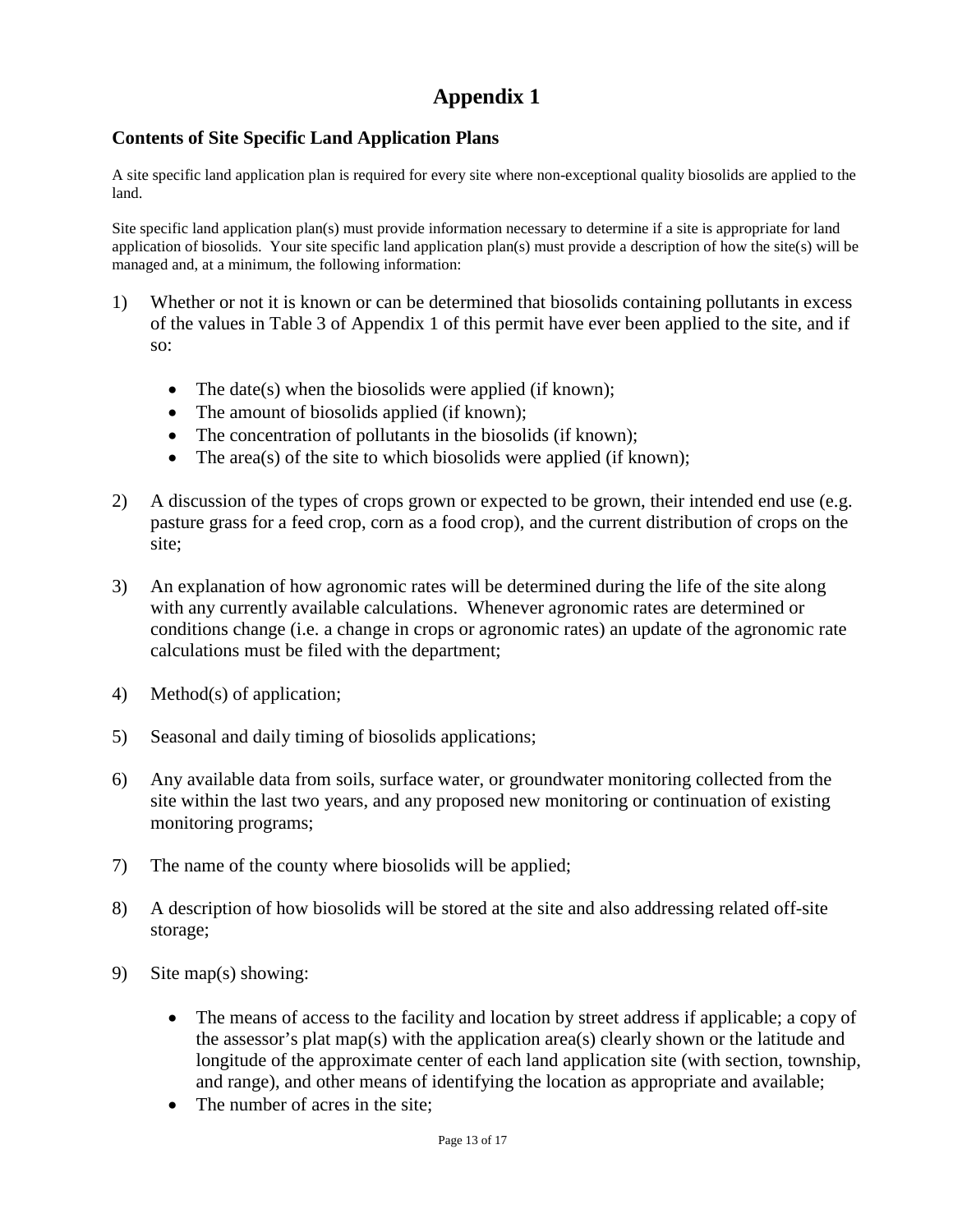# **Appendix 1**

## **Contents of Site Specific Land Application Plans**

A site specific land application plan is required for every site where non-exceptional quality biosolids are applied to the land.

Site specific land application plan(s) must provide information necessary to determine if a site is appropriate for land application of biosolids. Your site specific land application plan(s) must provide a description of how the site(s) will be managed and, at a minimum, the following information:

- 1) Whether or not it is known or can be determined that biosolids containing pollutants in excess of the values in Table 3 of Appendix 1 of this permit have ever been applied to the site, and if so:
	- The date(s) when the biosolids were applied (if known);
	- The amount of biosolids applied (if known);
	- The concentration of pollutants in the biosolids (if known);
	- The area(s) of the site to which biosolids were applied (if known);
- 2) A discussion of the types of crops grown or expected to be grown, their intended end use (e.g. pasture grass for a feed crop, corn as a food crop), and the current distribution of crops on the site;
- 3) An explanation of how agronomic rates will be determined during the life of the site along with any currently available calculations. Whenever agronomic rates are determined or conditions change (i.e. a change in crops or agronomic rates) an update of the agronomic rate calculations must be filed with the department;
- 4) Method(s) of application;
- 5) Seasonal and daily timing of biosolids applications;
- 6) Any available data from soils, surface water, or groundwater monitoring collected from the site within the last two years, and any proposed new monitoring or continuation of existing monitoring programs;
- 7) The name of the county where biosolids will be applied;
- 8) A description of how biosolids will be stored at the site and also addressing related off-site storage;
- 9) Site map(s) showing:
	- The means of access to the facility and location by street address if applicable; a copy of the assessor's plat map(s) with the application area(s) clearly shown or the latitude and longitude of the approximate center of each land application site (with section, township, and range), and other means of identifying the location as appropriate and available;
	- The number of acres in the site: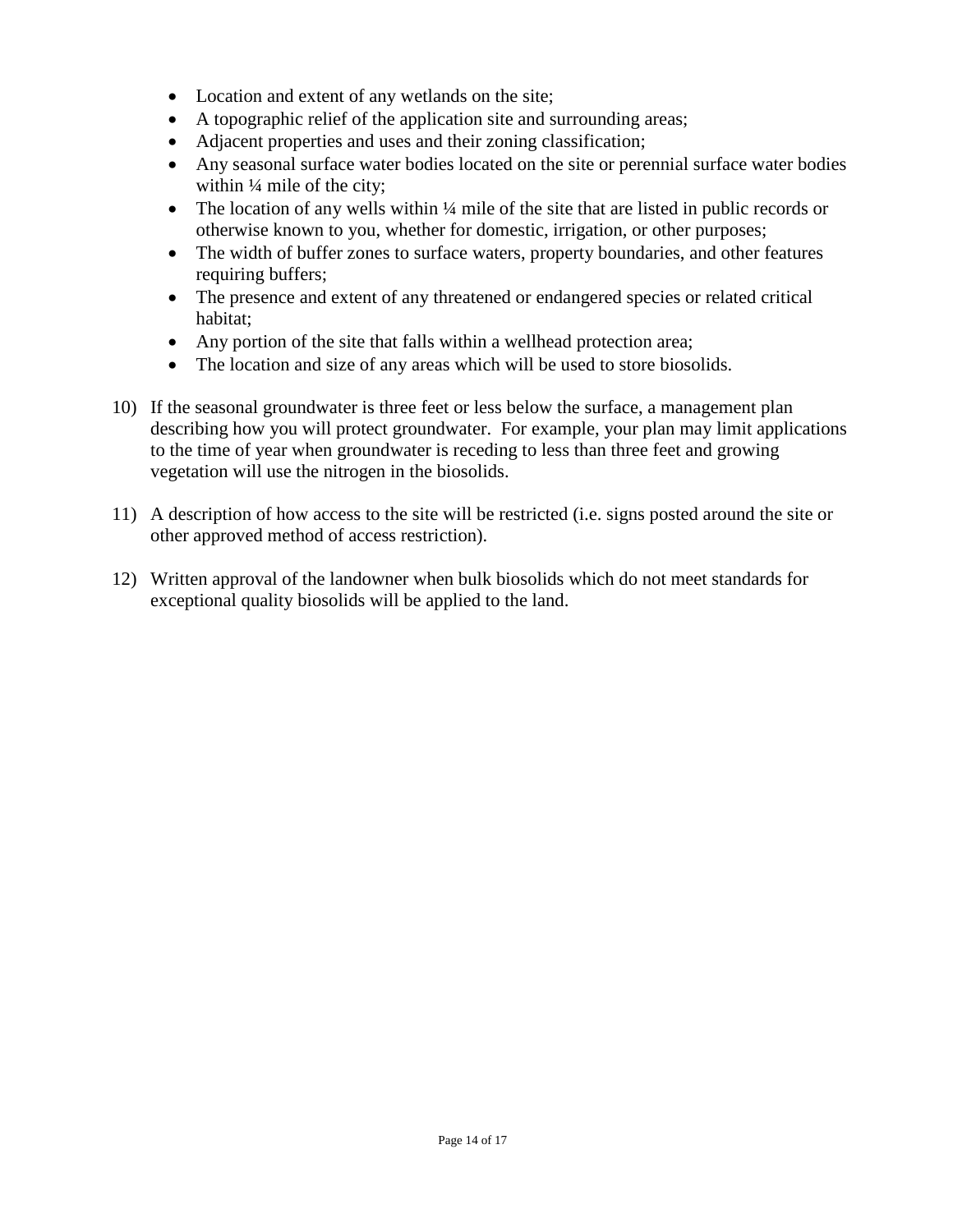- Location and extent of any wetlands on the site;
- A topographic relief of the application site and surrounding areas;
- Adjacent properties and uses and their zoning classification;
- Any seasonal surface water bodies located on the site or perennial surface water bodies within  $\frac{1}{4}$  mile of the city;
- The location of any wells within <sup>1</sup>/4 mile of the site that are listed in public records or otherwise known to you, whether for domestic, irrigation, or other purposes;
- The width of buffer zones to surface waters, property boundaries, and other features requiring buffers;
- The presence and extent of any threatened or endangered species or related critical habitat;
- Any portion of the site that falls within a wellhead protection area;
- The location and size of any areas which will be used to store biosolids.
- 10) If the seasonal groundwater is three feet or less below the surface, a management plan describing how you will protect groundwater. For example, your plan may limit applications to the time of year when groundwater is receding to less than three feet and growing vegetation will use the nitrogen in the biosolids.
- 11) A description of how access to the site will be restricted (i.e. signs posted around the site or other approved method of access restriction).
- 12) Written approval of the landowner when bulk biosolids which do not meet standards for exceptional quality biosolids will be applied to the land.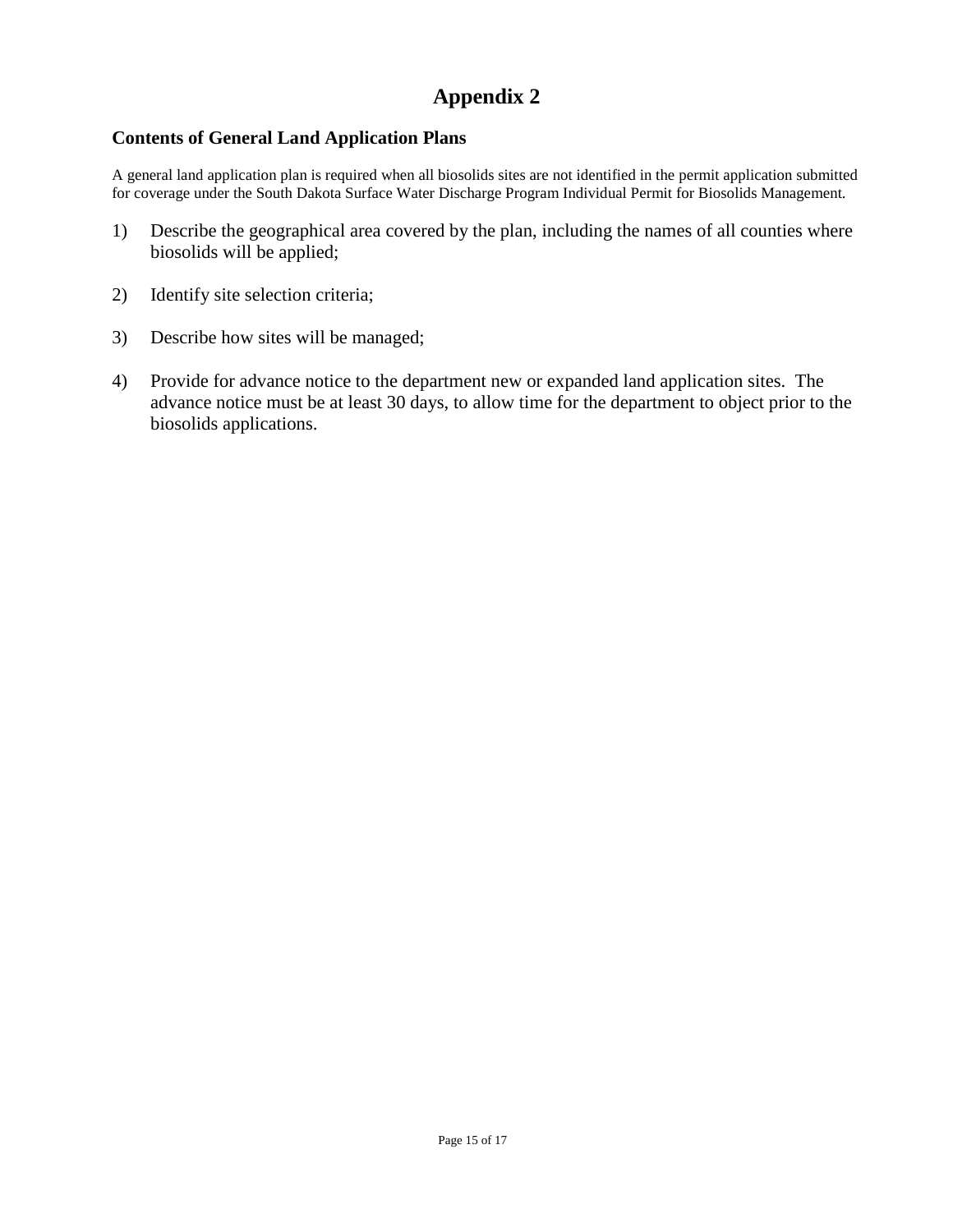# **Appendix 2**

## **Contents of General Land Application Plans**

A general land application plan is required when all biosolids sites are not identified in the permit application submitted for coverage under the South Dakota Surface Water Discharge Program Individual Permit for Biosolids Management.

- 1) Describe the geographical area covered by the plan, including the names of all counties where biosolids will be applied;
- 2) Identify site selection criteria;
- 3) Describe how sites will be managed;
- 4) Provide for advance notice to the department new or expanded land application sites. The advance notice must be at least 30 days, to allow time for the department to object prior to the biosolids applications.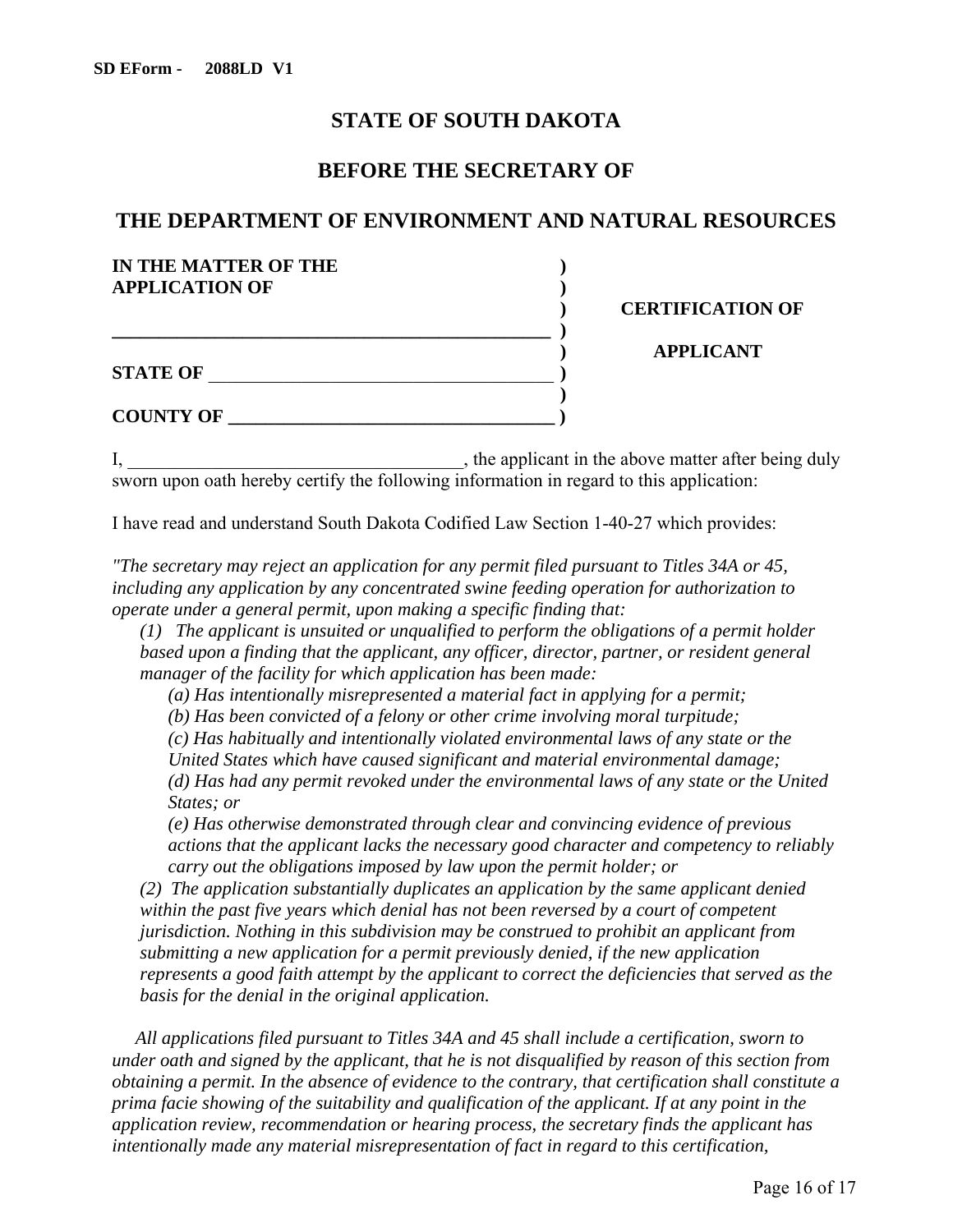## **STATE OF SOUTH DAKOTA**

## **BEFORE THE SECRETARY OF**

## **THE DEPARTMENT OF ENVIRONMENT AND NATURAL RESOURCES**

| IN THE MATTER OF THE  |                         |
|-----------------------|-------------------------|
| <b>APPLICATION OF</b> | <b>CERTIFICATION OF</b> |
|                       |                         |
| <b>STATE OF</b>       | <b>APPLICANT</b>        |
|                       |                         |
| <b>COUNTY OF</b>      |                         |

I, \_\_\_\_\_\_\_\_\_\_\_\_\_\_\_\_\_\_\_\_\_\_\_\_\_\_\_\_\_\_\_\_\_\_\_\_, the applicant in the above matter after being duly sworn upon oath hereby certify the following information in regard to this application:

I have read and understand South Dakota Codified Law Section 1-40-27 which provides:

*"The secretary may reject an application for any permit filed pursuant to Titles 34A or 45, including any application by any concentrated swine feeding operation for authorization to operate under a general permit, upon making a specific finding that:* 

*(1) The applicant is unsuited or unqualified to perform the obligations of a permit holder based upon a finding that the applicant, any officer, director, partner, or resident general manager of the facility for which application has been made:*

*(a) Has intentionally misrepresented a material fact in applying for a permit;*

*(b) Has been convicted of a felony or other crime involving moral turpitude;*

*(c) Has habitually and intentionally violated environmental laws of any state or the* 

*United States which have caused significant and material environmental damage; (d) Has had any permit revoked under the environmental laws of any state or the United States; or*

*(e) Has otherwise demonstrated through clear and convincing evidence of previous actions that the applicant lacks the necessary good character and competency to reliably carry out the obligations imposed by law upon the permit holder; or*

*(2) The application substantially duplicates an application by the same applicant denied within the past five years which denial has not been reversed by a court of competent jurisdiction. Nothing in this subdivision may be construed to prohibit an applicant from submitting a new application for a permit previously denied, if the new application represents a good faith attempt by the applicant to correct the deficiencies that served as the basis for the denial in the original application.*

*All applications filed pursuant to Titles 34A and 45 shall include a certification, sworn to under oath and signed by the applicant, that he is not disqualified by reason of this section from obtaining a permit. In the absence of evidence to the contrary, that certification shall constitute a prima facie showing of the suitability and qualification of the applicant. If at any point in the application review, recommendation or hearing process, the secretary finds the applicant has intentionally made any material misrepresentation of fact in regard to this certification,*